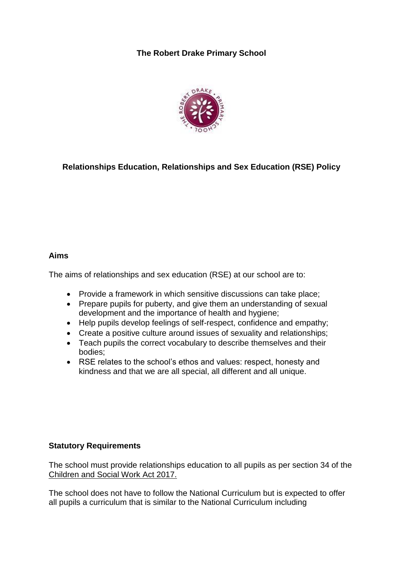# **The Robert Drake Primary School**



# **Relationships Education, Relationships and Sex Education (RSE) Policy**

### **Aims**

The aims of relationships and sex education (RSE) at our school are to:

- Provide a framework in which sensitive discussions can take place;
- Prepare pupils for puberty, and give them an understanding of sexual development and the importance of health and hygiene;
- Help pupils develop feelings of self-respect, confidence and empathy;
- Create a positive culture around issues of sexuality and relationships;
- Teach pupils the correct vocabulary to describe themselves and their bodies;
- RSE relates to the school's ethos and values: respect, honesty and kindness and that we are all special, all different and all unique.

### **Statutory Requirements**

The school must provide relationships education to all pupils as per section 34 of the [Children and Social Work Act 2017.](http://www.legislation.gov.uk/ukpga/2017/16/section/34/enacted)

The school does not have to follow the National Curriculum but is expected to offer all pupils a curriculum that is similar to the National Curriculum including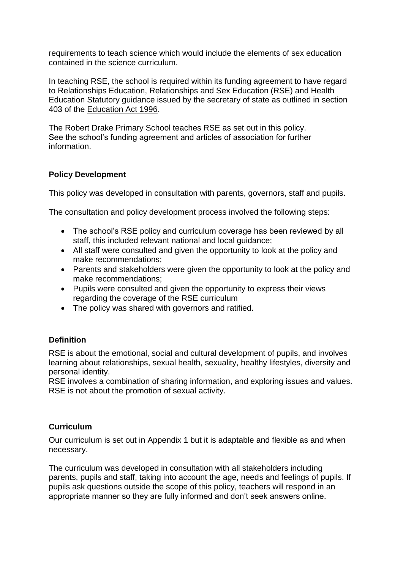requirements to teach science which would include the elements of sex education contained in the science curriculum.

In teaching RSE, the school is required within its funding agreement to have regard to Relationships Education, Relationships and Sex Education (RSE) and Health Education Statutory guidance issued by the secretary of state as outlined in section 403 of the [Education Act 1996.](http://www.legislation.gov.uk/ukpga/1996/56/contents)

The Robert Drake Primary School teaches RSE as set out in this policy. See the school's funding agreement and articles of association for further information.

## **Policy Development**

This policy was developed in consultation with parents, governors, staff and pupils.

The consultation and policy development process involved the following steps:

- The school's RSE policy and curriculum coverage has been reviewed by all staff, this included relevant national and local guidance;
- All staff were consulted and given the opportunity to look at the policy and make recommendations;
- Parents and stakeholders were given the opportunity to look at the policy and make recommendations;
- Pupils were consulted and given the opportunity to express their views regarding the coverage of the RSE curriculum
- The policy was shared with governors and ratified.

### **Definition**

RSE is about the emotional, social and cultural development of pupils, and involves learning about relationships, sexual health, sexuality, healthy lifestyles, diversity and personal identity.

RSE involves a combination of sharing information, and exploring issues and values. RSE is not about the promotion of sexual activity.

### **Curriculum**

Our curriculum is set out in Appendix 1 but it is adaptable and flexible as and when necessary.

The curriculum was developed in consultation with all stakeholders including parents, pupils and staff, taking into account the age, needs and feelings of pupils. If pupils ask questions outside the scope of this policy, teachers will respond in an appropriate manner so they are fully informed and don't seek answers online.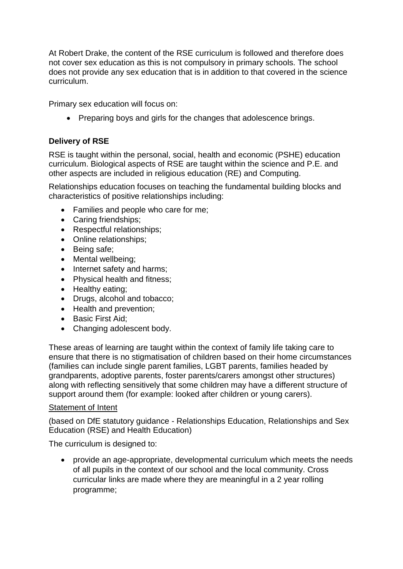At Robert Drake, the content of the RSE curriculum is followed and therefore does not cover sex education as this is not compulsory in primary schools. The school does not provide any sex education that is in addition to that covered in the science curriculum.

Primary sex education will focus on:

• Preparing boys and girls for the changes that adolescence brings.

## **Delivery of RSE**

RSE is taught within the personal, social, health and economic (PSHE) education curriculum. Biological aspects of RSE are taught within the science and P.E. and other aspects are included in religious education (RE) and Computing.

Relationships education focuses on teaching the fundamental building blocks and characteristics of positive relationships including:

- Families and people who care for me;
- Caring friendships;
- Respectful relationships;
- Online relationships;
- Being safe;
- Mental wellbeing;
- Internet safety and harms;
- Physical health and fitness;
- Healthy eating;
- Drugs, alcohol and tobacco;
- Health and prevention;
- Basic First Aid:
- Changing adolescent body.

These areas of learning are taught within the context of family life taking care to ensure that there is no stigmatisation of children based on their home circumstances (families can include single parent families, LGBT parents, families headed by grandparents, adoptive parents, foster parents/carers amongst other structures) along with reflecting sensitively that some children may have a different structure of support around them (for example: looked after children or young carers).

#### Statement of Intent

(based on DfE statutory guidance - Relationships Education, Relationships and Sex Education (RSE) and Health Education)

The curriculum is designed to:

 provide an age-appropriate, developmental curriculum which meets the needs of all pupils in the context of our school and the local community. Cross curricular links are made where they are meaningful in a 2 year rolling programme;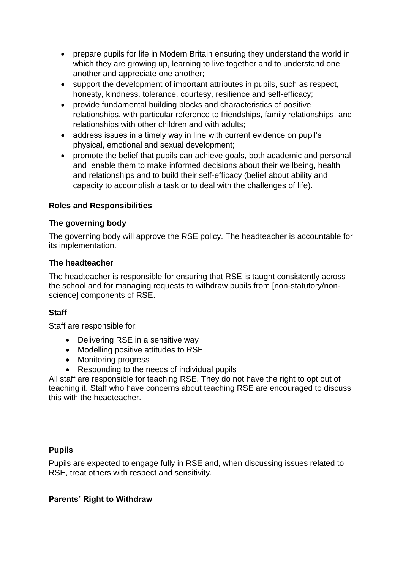- prepare pupils for life in Modern Britain ensuring they understand the world in which they are growing up, learning to live together and to understand one another and appreciate one another;
- support the development of important attributes in pupils, such as respect, honesty, kindness, tolerance, courtesy, resilience and self-efficacy;
- provide fundamental building blocks and characteristics of positive relationships, with particular reference to friendships, family relationships, and relationships with other children and with adults;
- address issues in a timely way in line with current evidence on pupil's physical, emotional and sexual development;
- promote the belief that pupils can achieve goals, both academic and personal and enable them to make informed decisions about their wellbeing, health and relationships and to build their self-efficacy (belief about ability and capacity to accomplish a task or to deal with the challenges of life).

## **Roles and Responsibilities**

### **The governing body**

The governing body will approve the RSE policy. The headteacher is accountable for its implementation.

## **The headteacher**

The headteacher is responsible for ensuring that RSE is taught consistently across the school and for managing requests to withdraw pupils from [non-statutory/nonscience] components of RSE.

## **Staff**

Staff are responsible for:

- Delivering RSE in a sensitive way
- Modelling positive attitudes to RSE
- Monitoring progress
- Responding to the needs of individual pupils

All staff are responsible for teaching RSE. They do not have the right to opt out of teaching it. Staff who have concerns about teaching RSE are encouraged to discuss this with the headteacher.

### **Pupils**

Pupils are expected to engage fully in RSE and, when discussing issues related to RSE, treat others with respect and sensitivity.

### **Parents' Right to Withdraw**